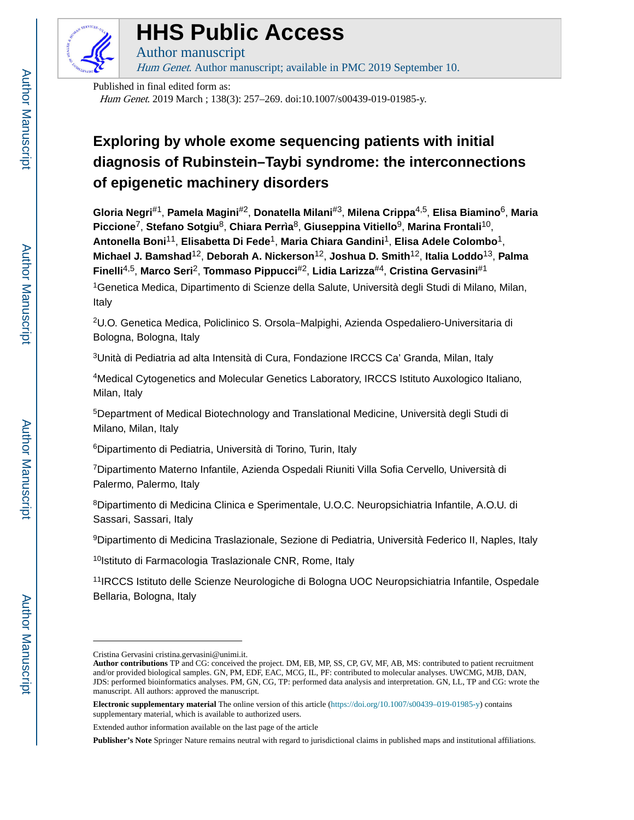

# **HHS Public Access**

Author manuscript

Hum Genet. Author manuscript; available in PMC 2019 September 10.

Published in final edited form as: Hum Genet. 2019 March ; 138(3): 257–269. doi:10.1007/s00439-019-01985-y.

## **Exploring by whole exome sequencing patients with initial diagnosis of Rubinstein–Taybi syndrome: the interconnections of epigenetic machinery disorders**

**Gloria Negri**#1, **Pamela Magini**#2, **Donatella Milani**#3, **Milena Crippa**4,5, **Elisa Biamino**6, **Maria Piccione**7, **Stefano Sotgiu**8, **Chiara Perrìa**8, **Giuseppina Vitiello**9, **Marina Frontali**10, **Antonella Boni**11, **Elisabetta Di Fede**1, **Maria Chiara Gandini**1, **Elisa Adele Colombo**1, **Michael J. Bamshad**12, **Deborah A. Nickerson**12, **Joshua D. Smith**12, **Italia Loddo**13, **Palma Finelli**4,5, **Marco Seri**2, **Tommaso Pippucci**#2, **Lidia Larizza**#4, **Cristina Gervasini**#1 <sup>1</sup>Genetica Medica, Dipartimento di Scienze della Salute, Università degli Studi di Milano, Milan, Italy

<sup>2</sup>U.O. Genetica Medica, Policlinico S. Orsola‑Malpighi, Azienda Ospedaliero-Universitaria di Bologna, Bologna, Italy

<sup>3</sup>Unità di Pediatria ad alta Intensità di Cura, Fondazione IRCCS Ca' Granda, Milan, Italy

<sup>4</sup>Medical Cytogenetics and Molecular Genetics Laboratory, IRCCS Istituto Auxologico Italiano, Milan, Italy

<sup>5</sup>Department of Medical Biotechnology and Translational Medicine, Università degli Studi di Milano, Milan, Italy

<sup>6</sup>Dipartimento di Pediatria, Università di Torino, Turin, Italy

<sup>7</sup>Dipartimento Materno Infantile, Azienda Ospedali Riuniti Villa Sofia Cervello, Università di Palermo, Palermo, Italy

<sup>8</sup>Dipartimento di Medicina Clinica e Sperimentale, U.O.C. Neuropsichiatria Infantile, A.O.U. di Sassari, Sassari, Italy

<sup>9</sup>Dipartimento di Medicina Traslazionale, Sezione di Pediatria, Università Federico II, Naples, Italy

10 Istituto di Farmacologia Traslazionale CNR, Rome, Italy

<sup>11</sup>IRCCS Istituto delle Scienze Neurologiche di Bologna UOC Neuropsichiatria Infantile, Ospedale Bellaria, Bologna, Italy

Cristina Gervasini cristina.gervasini@unimi.it.

**Author contributions** TP and CG: conceived the project. DM, EB, MP, SS, CP, GV, MF, AB, MS: contributed to patient recruitment and/or provided biological samples. GN, PM, EDF, EAC, MCG, IL, PF: contributed to molecular analyses. UWCMG, MJB, DAN, JDS: performed bioinformatics analyses. PM, GN, CG, TP: performed data analysis and interpretation. GN, LL, TP and CG: wrote the manuscript. All authors: approved the manuscript.

**Electronic supplementary material** The online version of this article ([https://doi.org/10.1007/s00439–019-01985-y\)](https://doi.org/10.1007/s00439–019-01985-y) contains supplementary material, which is available to authorized users.

Extended author information available on the last page of the article

**Publisher's Note** Springer Nature remains neutral with regard to jurisdictional claims in published maps and institutional affiliations.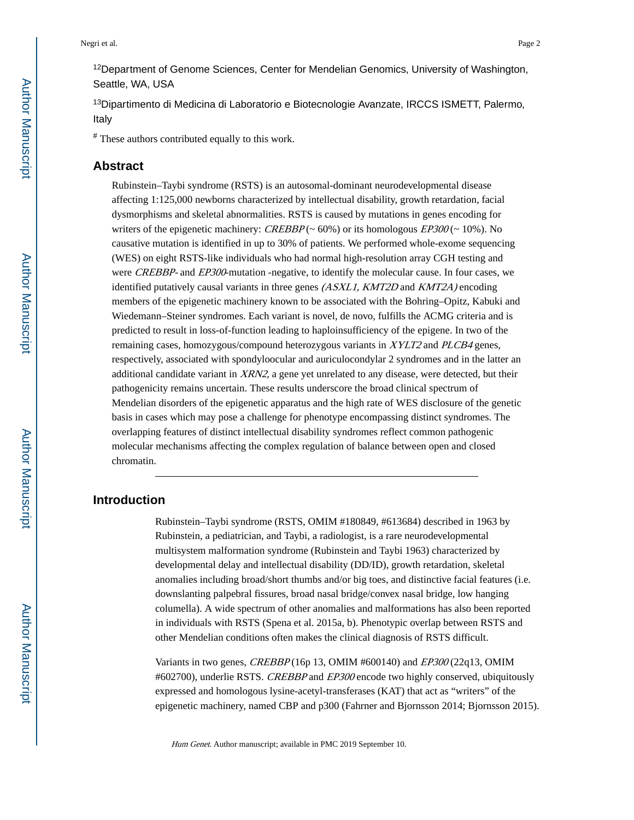<sup>12</sup>Department of Genome Sciences, Center for Mendelian Genomics, University of Washington, Seattle, WA, USA

<sup>13</sup>Dipartimento di Medicina di Laboratorio e Biotecnologie Avanzate, IRCCS ISMETT, Palermo, Italy

# These authors contributed equally to this work.

## **Abstract**

Rubinstein–Taybi syndrome (RSTS) is an autosomal-dominant neurodevelopmental disease affecting 1:125,000 newborns characterized by intellectual disability, growth retardation, facial dysmorphisms and skeletal abnormalities. RSTS is caused by mutations in genes encoding for writers of the epigenetic machinery: CREBBP ( $\sim$  60%) or its homologous EP300 ( $\sim$  10%). No causative mutation is identified in up to 30% of patients. We performed whole-exome sequencing (WES) on eight RSTS-like individuals who had normal high-resolution array CGH testing and were CREBBP- and EP300-mutation -negative, to identify the molecular cause. In four cases, we identified putatively causal variants in three genes (ASXL1, KMT2D and KMT2A) encoding members of the epigenetic machinery known to be associated with the Bohring–Opitz, Kabuki and Wiedemann–Steiner syndromes. Each variant is novel, de novo, fulfills the ACMG criteria and is predicted to result in loss-of-function leading to haploinsufficiency of the epigene. In two of the remaining cases, homozygous/compound heterozygous variants in XYLT2 and PLCB4 genes, respectively, associated with spondyloocular and auriculocondylar 2 syndromes and in the latter an additional candidate variant in  $XRN2$ , a gene yet unrelated to any disease, were detected, but their pathogenicity remains uncertain. These results underscore the broad clinical spectrum of Mendelian disorders of the epigenetic apparatus and the high rate of WES disclosure of the genetic basis in cases which may pose a challenge for phenotype encompassing distinct syndromes. The overlapping features of distinct intellectual disability syndromes reflect common pathogenic molecular mechanisms affecting the complex regulation of balance between open and closed chromatin.

## **Introduction**

Rubinstein–Taybi syndrome (RSTS, OMIM #180849, #613684) described in 1963 by Rubinstein, a pediatrician, and Taybi, a radiologist, is a rare neurodevelopmental multisystem malformation syndrome (Rubinstein and Taybi 1963) characterized by developmental delay and intellectual disability (DD/ID), growth retardation, skeletal anomalies including broad/short thumbs and/or big toes, and distinctive facial features (i.e. downslanting palpebral fissures, broad nasal bridge/convex nasal bridge, low hanging columella). A wide spectrum of other anomalies and malformations has also been reported in individuals with RSTS (Spena et al. 2015a, b). Phenotypic overlap between RSTS and other Mendelian conditions often makes the clinical diagnosis of RSTS difficult.

Variants in two genes, CREBBP (16p 13, OMIM #600140) and EP300 (22q13, OMIM #602700), underlie RSTS. CREBBP and EP300 encode two highly conserved, ubiquitously expressed and homologous lysine-acetyl-transferases (KAT) that act as "writers" of the epigenetic machinery, named CBP and p300 (Fahrner and Bjornsson 2014; Bjornsson 2015).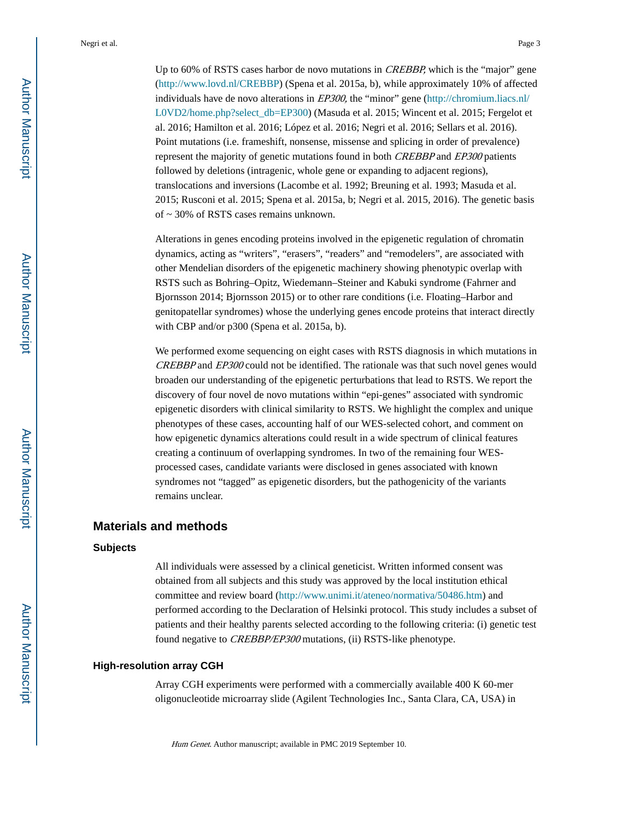Up to 60% of RSTS cases harbor de novo mutations in *CREBBP*, which is the "major" gene [\(http://www.lovd.nl/CREBBP\)](http://www.lovd.nl/CREBBP) (Spena et al. 2015a, b), while approximately 10% of affected individuals have de novo alterations in EP300, the "minor" gene ([http://chromium.liacs.nl/](http://chromium.liacs.nl/L0VD2/home.php?select_db=EP300) [L0VD2/home.php?select\\_db=EP300\)](http://chromium.liacs.nl/L0VD2/home.php?select_db=EP300) (Masuda et al. 2015; Wincent et al. 2015; Fergelot et al. 2016; Hamilton et al. 2016; López et al. 2016; Negri et al. 2016; Sellars et al. 2016). Point mutations (i.e. frameshift, nonsense, missense and splicing in order of prevalence) represent the majority of genetic mutations found in both *CREBBP* and *EP300* patients followed by deletions (intragenic, whole gene or expanding to adjacent regions), translocations and inversions (Lacombe et al. 1992; Breuning et al. 1993; Masuda et al. 2015; Rusconi et al. 2015; Spena et al. 2015a, b; Negri et al. 2015, 2016). The genetic basis of ~ 30% of RSTS cases remains unknown.

Alterations in genes encoding proteins involved in the epigenetic regulation of chromatin dynamics, acting as "writers", "erasers", "readers" and "remodelers", are associated with other Mendelian disorders of the epigenetic machinery showing phenotypic overlap with RSTS such as Bohring–Opitz, Wiedemann–Steiner and Kabuki syndrome (Fahrner and Bjornsson 2014; Bjornsson 2015) or to other rare conditions (i.e. Floating–Harbor and genitopatellar syndromes) whose the underlying genes encode proteins that interact directly with CBP and/or p300 (Spena et al. 2015a, b).

We performed exome sequencing on eight cases with RSTS diagnosis in which mutations in CREBBP and EP300 could not be identified. The rationale was that such novel genes would broaden our understanding of the epigenetic perturbations that lead to RSTS. We report the discovery of four novel de novo mutations within "epi-genes" associated with syndromic epigenetic disorders with clinical similarity to RSTS. We highlight the complex and unique phenotypes of these cases, accounting half of our WES-selected cohort, and comment on how epigenetic dynamics alterations could result in a wide spectrum of clinical features creating a continuum of overlapping syndromes. In two of the remaining four WESprocessed cases, candidate variants were disclosed in genes associated with known syndromes not "tagged" as epigenetic disorders, but the pathogenicity of the variants remains unclear.

## **Materials and methods**

#### **Subjects**

All individuals were assessed by a clinical geneticist. Written informed consent was obtained from all subjects and this study was approved by the local institution ethical committee and review board [\(http://www.unimi.it/ateneo/normativa/50486.htm\)](http://www.unimi.it/ateneo/normativa/50486.htm) and performed according to the Declaration of Helsinki protocol. This study includes a subset of patients and their healthy parents selected according to the following criteria: (i) genetic test found negative to CREBBP/EP300 mutations, (ii) RSTS-like phenotype.

## **High-resolution array CGH**

Array CGH experiments were performed with a commercially available 400 K 60-mer oligonucleotide microarray slide (Agilent Technologies Inc., Santa Clara, CA, USA) in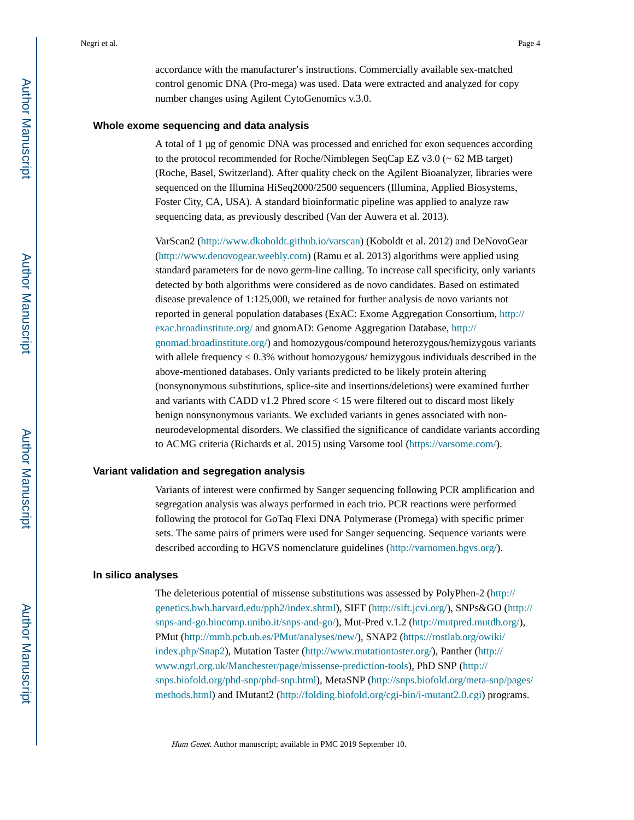accordance with the manufacturer's instructions. Commercially available sex-matched control genomic DNA (Pro-mega) was used. Data were extracted and analyzed for copy number changes using Agilent CytoGenomics v.3.0.

#### **Whole exome sequencing and data analysis**

A total of 1 μg of genomic DNA was processed and enriched for exon sequences according to the protocol recommended for Roche/Nimblegen SeqCap EZ v3.0 (~ 62 MB target) (Roche, Basel, Switzerland). After quality check on the Agilent Bioanalyzer, libraries were sequenced on the Illumina HiSeq2000/2500 sequencers (Illumina, Applied Biosystems, Foster City, CA, USA). A standard bioinformatic pipeline was applied to analyze raw sequencing data, as previously described (Van der Auwera et al. 2013).

VarScan2 [\(http://www.dkoboldt.github.io/varscan](http://www.dkoboldt.github.io/varscan)) (Koboldt et al. 2012) and DeNovoGear [\(http://www.denovogear.weebly.com\)](http://www.denovogear.weebly.com/) (Ramu et al. 2013) algorithms were applied using standard parameters for de novo germ-line calling. To increase call specificity, only variants detected by both algorithms were considered as de novo candidates. Based on estimated disease prevalence of 1:125,000, we retained for further analysis de novo variants not reported in general population databases (ExAC: Exome Aggregation Consortium, [http://](http://exac.broadinstitute.org/) [exac.broadinstitute.org/](http://exac.broadinstitute.org/) and gnomAD: Genome Aggregation Database, [http://](http://gnomad.broadinstitute.org/) [gnomad.broadinstitute.org/](http://gnomad.broadinstitute.org/)) and homozygous/compound heterozygous/hemizygous variants with allele frequency 0.3% without homozygous/ hemizygous individuals described in the above-mentioned databases. Only variants predicted to be likely protein altering (nonsynonymous substitutions, splice-site and insertions/deletions) were examined further and variants with CADD v1.2 Phred score < 15 were filtered out to discard most likely benign nonsynonymous variants. We excluded variants in genes associated with nonneurodevelopmental disorders. We classified the significance of candidate variants according to ACMG criteria (Richards et al. 2015) using Varsome tool [\(https://varsome.com/](https://varsome.com/)).

#### **Variant validation and segregation analysis**

Variants of interest were confirmed by Sanger sequencing following PCR amplification and segregation analysis was always performed in each trio. PCR reactions were performed following the protocol for GoTaq Flexi DNA Polymerase (Promega) with specific primer sets. The same pairs of primers were used for Sanger sequencing. Sequence variants were described according to HGVS nomenclature guidelines (<http://varnomen.hgvs.org/>).

#### **In silico analyses**

The deleterious potential of missense substitutions was assessed by PolyPhen-2 ([http://](http://genetics.bwh.harvard.edu/pph2/index.shtml) [genetics.bwh.harvard.edu/pph2/index.shtml\)](http://genetics.bwh.harvard.edu/pph2/index.shtml), SIFT [\(http://sift.jcvi.org/\)](http://sift.jcvi.org/), SNPs&GO ([http://](http://snps-and-go.biocomp.unibo.it/snps-and-go/) [snps-and-go.biocomp.unibo.it/snps-and-go/](http://snps-and-go.biocomp.unibo.it/snps-and-go/)), Mut-Pred v.1.2 [\(http://mutpred.mutdb.org/\)](http://mutpred.mutdb.org/), PMut [\(http://mmb.pcb.ub.es/PMut/analyses/new/](http://mmb.pcb.ub.es/PMut/analyses/new/)), SNAP2 ([https://rostlab.org/owiki/](https://rostlab.org/owiki/index.php/Snap2) [index.php/Snap2](https://rostlab.org/owiki/index.php/Snap2)), Mutation Taster (<http://www.mutationtaster.org/>), Panther ([http://](http://www.ngrl.org.uk/Manchester/page/missense-prediction-tools) [www.ngrl.org.uk/Manchester/page/missense-prediction-tools](http://www.ngrl.org.uk/Manchester/page/missense-prediction-tools)), PhD SNP [\(http://](http://snps.biofold.org/phd-snp/phd-snp.html) [snps.biofold.org/phd-snp/phd-snp.html\)](http://snps.biofold.org/phd-snp/phd-snp.html), MetaSNP ([http://snps.biofold.org/meta-snp/pages/](http://snps.biofold.org/meta-snp/pages/methods.html) [methods.html\)](http://snps.biofold.org/meta-snp/pages/methods.html) and IMutant2 (<http://folding.biofold.org/cgi-bin/i-mutant2.0.cgi>) programs.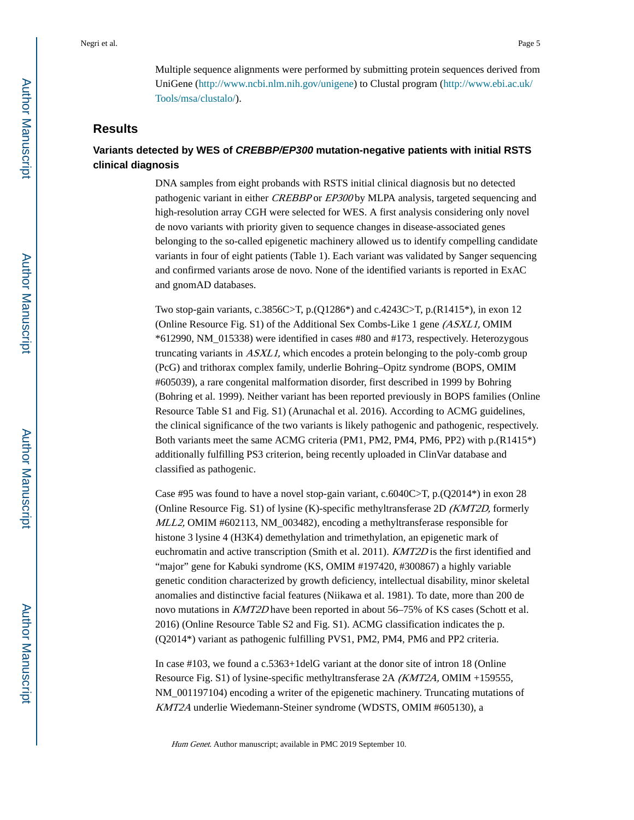Multiple sequence alignments were performed by submitting protein sequences derived from UniGene ([http://www.ncbi.nlm.nih.gov/unigene\)](http://www.ncbi.nlm.nih.gov/unigene) to Clustal program [\(http://www.ebi.ac.uk/](http://www.ebi.ac.uk/Tools/msa/clustalo/) [Tools/msa/clustalo/\)](http://www.ebi.ac.uk/Tools/msa/clustalo/).

## **Results**

## **Variants detected by WES of CREBBP/EP300 mutation-negative patients with initial RSTS clinical diagnosis**

DNA samples from eight probands with RSTS initial clinical diagnosis but no detected pathogenic variant in either CREBBP or EP300 by MLPA analysis, targeted sequencing and high-resolution array CGH were selected for WES. A first analysis considering only novel de novo variants with priority given to sequence changes in disease-associated genes belonging to the so-called epigenetic machinery allowed us to identify compelling candidate variants in four of eight patients (Table 1). Each variant was validated by Sanger sequencing and confirmed variants arose de novo. None of the identified variants is reported in ExAC and gnomAD databases.

Two stop-gain variants, c.3856C>T, p.(Q1286\*) and c.4243C>T, p.(R1415\*), in exon 12 (Online Resource Fig. S1) of the Additional Sex Combs-Like 1 gene (ASXL1, OMIM \*612990, NM\_015338) were identified in cases #80 and #173, respectively. Heterozygous truncating variants in ASXL1, which encodes a protein belonging to the poly-comb group (PcG) and trithorax complex family, underlie Bohring–Opitz syndrome (BOPS, OMIM #605039), a rare congenital malformation disorder, first described in 1999 by Bohring (Bohring et al. 1999). Neither variant has been reported previously in BOPS families (Online Resource Table S1 and Fig. S1) (Arunachal et al. 2016). According to ACMG guidelines, the clinical significance of the two variants is likely pathogenic and pathogenic, respectively. Both variants meet the same ACMG criteria (PM1, PM2, PM4, PM6, PP2) with p.(R1415\*) additionally fulfilling PS3 criterion, being recently uploaded in ClinVar database and classified as pathogenic.

Case #95 was found to have a novel stop-gain variant,  $c.6040C>T$ ,  $p.(Q2014*)$  in exon 28 (Online Resource Fig. S1) of lysine (K)-specific methyltransferase 2D (KMT2D, formerly MLL2, OMIM #602113, NM\_003482), encoding a methyltransferase responsible for histone 3 lysine 4 (H3K4) demethylation and trimethylation, an epigenetic mark of euchromatin and active transcription (Smith et al. 2011). KMT2D is the first identified and "major" gene for Kabuki syndrome (KS, OMIM #197420, #300867) a highly variable genetic condition characterized by growth deficiency, intellectual disability, minor skeletal anomalies and distinctive facial features (Niikawa et al. 1981). To date, more than 200 de novo mutations in KMT2D have been reported in about 56–75% of KS cases (Schott et al. 2016) (Online Resource Table S2 and Fig. S1). ACMG classification indicates the p. (Q2014\*) variant as pathogenic fulfilling PVS1, PM2, PM4, PM6 and PP2 criteria.

In case #103, we found a c.5363+1delG variant at the donor site of intron 18 (Online Resource Fig. S1) of lysine-specific methyltransferase 2A (KMT2A, OMIM +159555, NM\_001197104) encoding a writer of the epigenetic machinery. Truncating mutations of KMT2A underlie Wiedemann-Steiner syndrome (WDSTS, OMIM #605130), a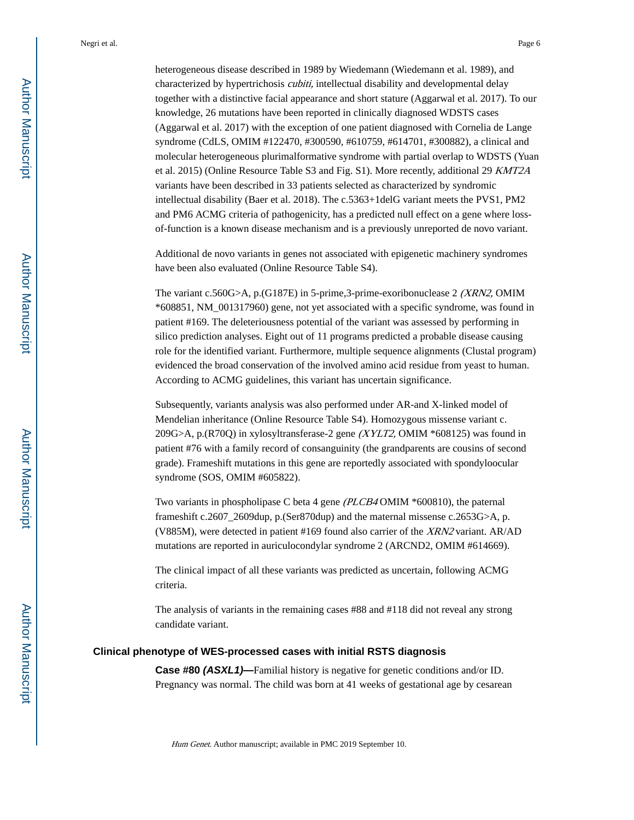heterogeneous disease described in 1989 by Wiedemann (Wiedemann et al. 1989), and characterized by hypertrichosis *cubiti*, intellectual disability and developmental delay together with a distinctive facial appearance and short stature (Aggarwal et al. 2017). To our knowledge, 26 mutations have been reported in clinically diagnosed WDSTS cases (Aggarwal et al. 2017) with the exception of one patient diagnosed with Cornelia de Lange syndrome (CdLS, OMIM #122470, #300590, #610759, #614701, #300882), a clinical and molecular heterogeneous plurimalformative syndrome with partial overlap to WDSTS (Yuan et al. 2015) (Online Resource Table S3 and Fig. S1). More recently, additional 29 KMT2A variants have been described in 33 patients selected as characterized by syndromic intellectual disability (Baer et al. 2018). The c.5363+1delG variant meets the PVS1, PM2 and PM6 ACMG criteria of pathogenicity, has a predicted null effect on a gene where lossof-function is a known disease mechanism and is a previously unreported de novo variant.

Additional de novo variants in genes not associated with epigenetic machinery syndromes have been also evaluated (Online Resource Table S4).

The variant c.560G>A, p.(G187E) in 5-prime,3-prime-exoribonuclease 2 (XRN2, OMIM \*608851, NM\_001317960) gene, not yet associated with a specific syndrome, was found in patient #169. The deleteriousness potential of the variant was assessed by performing in silico prediction analyses. Eight out of 11 programs predicted a probable disease causing role for the identified variant. Furthermore, multiple sequence alignments (Clustal program) evidenced the broad conservation of the involved amino acid residue from yeast to human. According to ACMG guidelines, this variant has uncertain significance.

Subsequently, variants analysis was also performed under AR-and X-linked model of Mendelian inheritance (Online Resource Table S4). Homozygous missense variant c. 209G>A, p.(R70Q) in xylosyltransferase-2 gene (XYLT2, OMIM \*608125) was found in patient #76 with a family record of consanguinity (the grandparents are cousins of second grade). Frameshift mutations in this gene are reportedly associated with spondyloocular syndrome (SOS, OMIM #605822).

Two variants in phospholipase C beta 4 gene (PLCB4 OMIM \*600810), the paternal frameshift c.2607\_2609dup, p.(Ser870dup) and the maternal missense c.2653G>A, p. (V885M), were detected in patient #169 found also carrier of the XRN2 variant. AR/AD mutations are reported in auriculocondylar syndrome 2 (ARCND2, OMIM #614669).

The clinical impact of all these variants was predicted as uncertain, following ACMG criteria.

The analysis of variants in the remaining cases #88 and #118 did not reveal any strong candidate variant.

#### **Clinical phenotype of WES-processed cases with initial RSTS diagnosis**

**Case #80 (ASXL1)—**Familial history is negative for genetic conditions and/or ID. Pregnancy was normal. The child was born at 41 weeks of gestational age by cesarean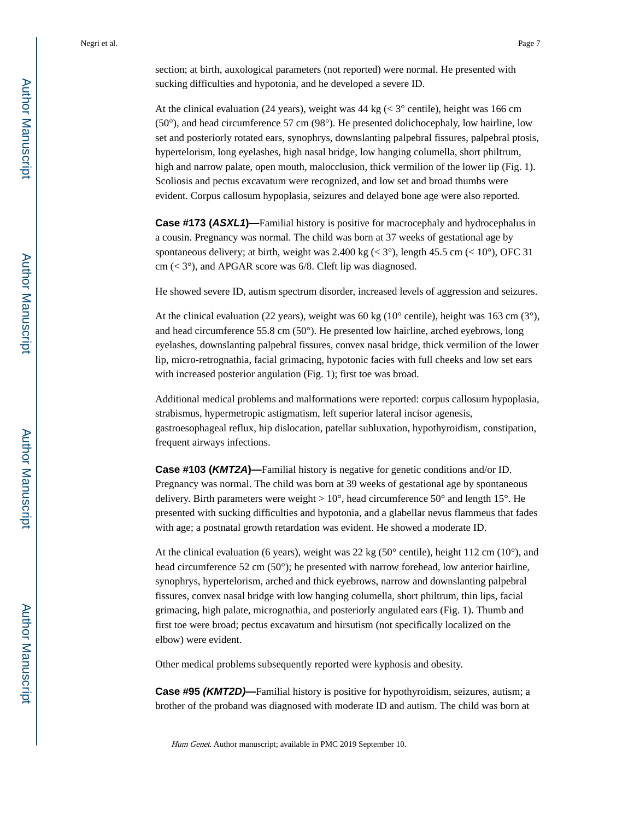section; at birth, auxological parameters (not reported) were normal. He presented with sucking difficulties and hypotonia, and he developed a severe ID.

At the clinical evaluation (24 years), weight was  $44 \text{ kg}$  ( $\lt 3^\circ$  centile), height was 166 cm  $(50^{\circ})$ , and head circumference 57 cm  $(98^{\circ})$ . He presented dolichocephaly, low hairline, low set and posteriorly rotated ears, synophrys, downslanting palpebral fissures, palpebral ptosis, hypertelorism, long eyelashes, high nasal bridge, low hanging columella, short philtrum, high and narrow palate, open mouth, malocclusion, thick vermilion of the lower lip (Fig. 1). Scoliosis and pectus excavatum were recognized, and low set and broad thumbs were evident. Corpus callosum hypoplasia, seizures and delayed bone age were also reported.

**Case #173 (ASXL1)—**Familial history is positive for macrocephaly and hydrocephalus in a cousin. Pregnancy was normal. The child was born at 37 weeks of gestational age by spontaneous delivery; at birth, weight was 2.400 kg ( $\lt 3^\circ$ ), length 45.5 cm ( $\lt 10^\circ$ ), OFC 31 cm  $( $3^{\circ}$ ), and APGAR score was 6/8. Cleft lip was diagnosed.$ 

He showed severe ID, autism spectrum disorder, increased levels of aggression and seizures.

At the clinical evaluation (22 years), weight was 60 kg ( $10^{\circ}$  centile), height was 163 cm ( $3^{\circ}$ ), and head circumference 55.8 cm (50°). He presented low hairline, arched eyebrows, long eyelashes, downslanting palpebral fissures, convex nasal bridge, thick vermilion of the lower lip, micro-retrognathia, facial grimacing, hypotonic facies with full cheeks and low set ears with increased posterior angulation (Fig. 1); first toe was broad.

Additional medical problems and malformations were reported: corpus callosum hypoplasia, strabismus, hypermetropic astigmatism, left superior lateral incisor agenesis, gastroesophageal reflux, hip dislocation, patellar subluxation, hypothyroidism, constipation, frequent airways infections.

**Case #103 (KMT2A)—**Familial history is negative for genetic conditions and/or ID. Pregnancy was normal. The child was born at 39 weeks of gestational age by spontaneous delivery. Birth parameters were weight  $> 10^{\circ}$ , head circumference 50° and length 15°. He presented with sucking difficulties and hypotonia, and a glabellar nevus flammeus that fades with age; a postnatal growth retardation was evident. He showed a moderate ID.

At the clinical evaluation (6 years), weight was 22 kg ( $50^{\circ}$  centile), height 112 cm ( $10^{\circ}$ ), and head circumference 52 cm (50°); he presented with narrow forehead, low anterior hairline, synophrys, hypertelorism, arched and thick eyebrows, narrow and downslanting palpebral fissures, convex nasal bridge with low hanging columella, short philtrum, thin lips, facial grimacing, high palate, micrognathia, and posteriorly angulated ears (Fig. 1). Thumb and first toe were broad; pectus excavatum and hirsutism (not specifically localized on the elbow) were evident.

Other medical problems subsequently reported were kyphosis and obesity.

**Case #95 (KMT2D)—**Familial history is positive for hypothyroidism, seizures, autism; a brother of the proband was diagnosed with moderate ID and autism. The child was born at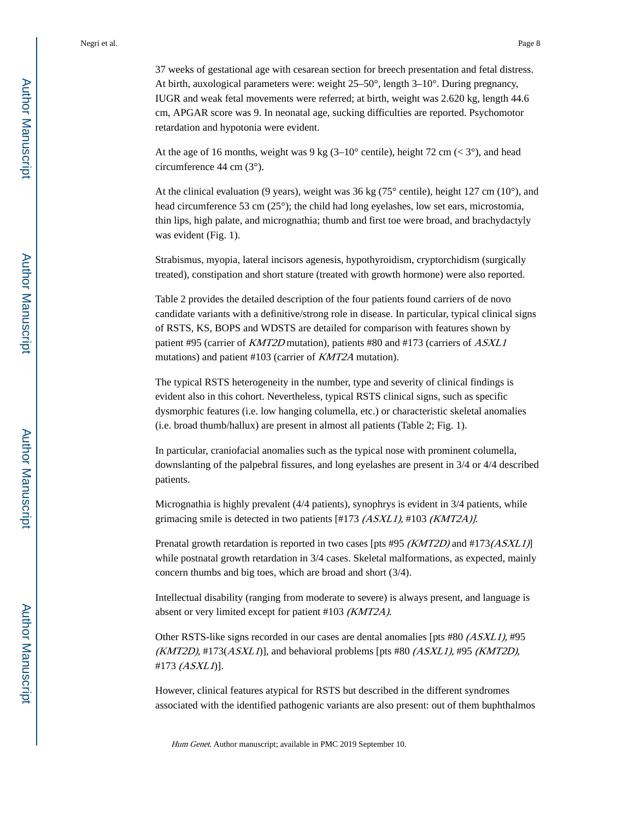37 weeks of gestational age with cesarean section for breech presentation and fetal distress. At birth, auxological parameters were: weight 25–50°, length 3–10°. During pregnancy, IUGR and weak fetal movements were referred; at birth, weight was 2.620 kg, length 44.6 cm, APGAR score was 9. In neonatal age, sucking difficulties are reported. Psychomotor retardation and hypotonia were evident.

At the age of 16 months, weight was 9 kg  $(3-10^{\circ} \text{ centile})$ , height 72 cm ( $\lt 3^{\circ}$ ), and head circumference 44 cm (3°).

At the clinical evaluation (9 years), weight was 36 kg ( $75^{\circ}$  centile), height 127 cm (10 $^{\circ}$ ), and head circumference 53 cm (25°); the child had long eyelashes, low set ears, microstomia, thin lips, high palate, and micrognathia; thumb and first toe were broad, and brachydactyly was evident (Fig. 1).

Strabismus, myopia, lateral incisors agenesis, hypothyroidism, cryptorchidism (surgically treated), constipation and short stature (treated with growth hormone) were also reported.

Table 2 provides the detailed description of the four patients found carriers of de novo candidate variants with a definitive/strong role in disease. In particular, typical clinical signs of RSTS, KS, BOPS and WDSTS are detailed for comparison with features shown by patient #95 (carrier of KMT2D mutation), patients #80 and #173 (carriers of ASXL1 mutations) and patient #103 (carrier of KMT2A mutation).

The typical RSTS heterogeneity in the number, type and severity of clinical findings is evident also in this cohort. Nevertheless, typical RSTS clinical signs, such as specific dysmorphic features (i.e. low hanging columella, etc.) or characteristic skeletal anomalies (i.e. broad thumb/hallux) are present in almost all patients (Table 2; Fig. 1).

In particular, craniofacial anomalies such as the typical nose with prominent columella, downslanting of the palpebral fissures, and long eyelashes are present in 3/4 or 4/4 described patients.

Micrognathia is highly prevalent (4/4 patients), synophrys is evident in 3/4 patients, while grimacing smile is detected in two patients [#173 (ASXL1), #103 (KMT2A)].

Prenatal growth retardation is reported in two cases [pts #95 (KMT2D) and #173(ASXL1)] while postnatal growth retardation in  $3/4$  cases. Skeletal malformations, as expected, mainly concern thumbs and big toes, which are broad and short (3/4).

Intellectual disability (ranging from moderate to severe) is always present, and language is absent or very limited except for patient #103 (KMT2A).

Other RSTS-like signs recorded in our cases are dental anomalies [pts #80 (ASXL1), #95  $(KMT2D)$ , #173 $(ASXLI)$ ], and behavioral problems [pts #80  $(ASXLI)$ , #95  $(KMT2D)$ , #173 (ASXL1)].

However, clinical features atypical for RSTS but described in the different syndromes associated with the identified pathogenic variants are also present: out of them buphthalmos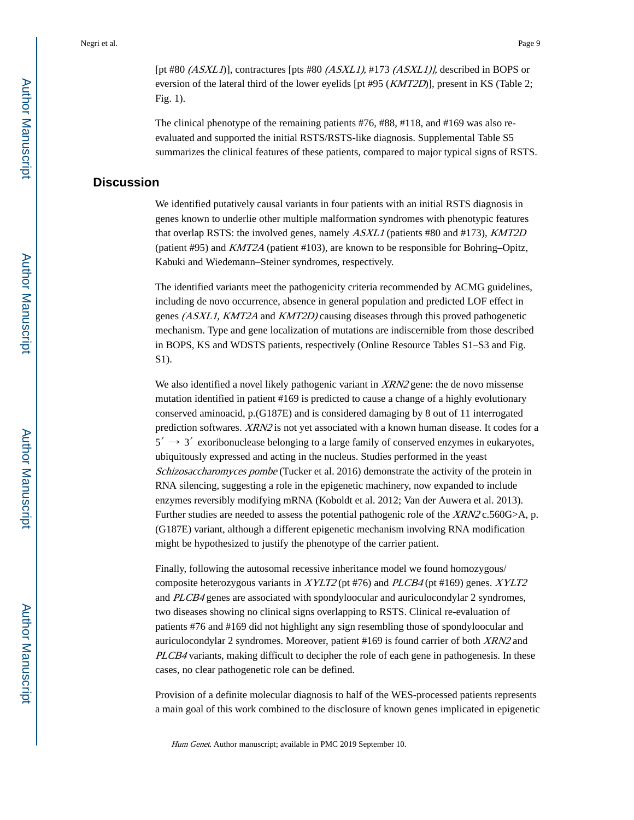[pt #80  $(ASXLI)$ ], contractures [pts #80  $(ASXLI)$ , #173  $(ASXLI)$ ], described in BOPS or eversion of the lateral third of the lower eyelids [pt #95 (KMT2D)], present in KS (Table 2; Fig. 1).

The clinical phenotype of the remaining patients #76, #88, #118, and #169 was also reevaluated and supported the initial RSTS/RSTS-like diagnosis. Supplemental Table S5 summarizes the clinical features of these patients, compared to major typical signs of RSTS.

## **Discussion**

We identified putatively causal variants in four patients with an initial RSTS diagnosis in genes known to underlie other multiple malformation syndromes with phenotypic features that overlap RSTS: the involved genes, namely ASXL1 (patients #80 and #173), KMT2D (patient #95) and KMT2A (patient #103), are known to be responsible for Bohring–Opitz, Kabuki and Wiedemann–Steiner syndromes, respectively.

The identified variants meet the pathogenicity criteria recommended by ACMG guidelines, including de novo occurrence, absence in general population and predicted LOF effect in genes (ASXL1, KMT2A and KMT2D) causing diseases through this proved pathogenetic mechanism. Type and gene localization of mutations are indiscernible from those described in BOPS, KS and WDSTS patients, respectively (Online Resource Tables S1–S3 and Fig. S1).

We also identified a novel likely pathogenic variant in  $XRN2$  gene: the de novo missense mutation identified in patient #169 is predicted to cause a change of a highly evolutionary conserved aminoacid, p.(G187E) and is considered damaging by 8 out of 11 interrogated prediction softwares. XRN2 is not yet associated with a known human disease. It codes for a  $5' \rightarrow 3'$  exoribonuclease belonging to a large family of conserved enzymes in eukaryotes, ubiquitously expressed and acting in the nucleus. Studies performed in the yeast Schizosaccharomyces pombe (Tucker et al. 2016) demonstrate the activity of the protein in RNA silencing, suggesting a role in the epigenetic machinery, now expanded to include enzymes reversibly modifying mRNA (Koboldt et al. 2012; Van der Auwera et al. 2013). Further studies are needed to assess the potential pathogenic role of the XRN2 c.560G>A, p. (G187E) variant, although a different epigenetic mechanism involving RNA modification might be hypothesized to justify the phenotype of the carrier patient.

Finally, following the autosomal recessive inheritance model we found homozygous/ composite heterozygous variants in  $XYLT2$  (pt #76) and  $PLCB4$  (pt #169) genes.  $XYLT2$ and PLCB4 genes are associated with spondyloocular and auriculocondylar 2 syndromes, two diseases showing no clinical signs overlapping to RSTS. Clinical re-evaluation of patients #76 and #169 did not highlight any sign resembling those of spondyloocular and auriculocondylar 2 syndromes. Moreover, patient #169 is found carrier of both XRN2 and PLCB4 variants, making difficult to decipher the role of each gene in pathogenesis. In these cases, no clear pathogenetic role can be defined.

Provision of a definite molecular diagnosis to half of the WES-processed patients represents a main goal of this work combined to the disclosure of known genes implicated in epigenetic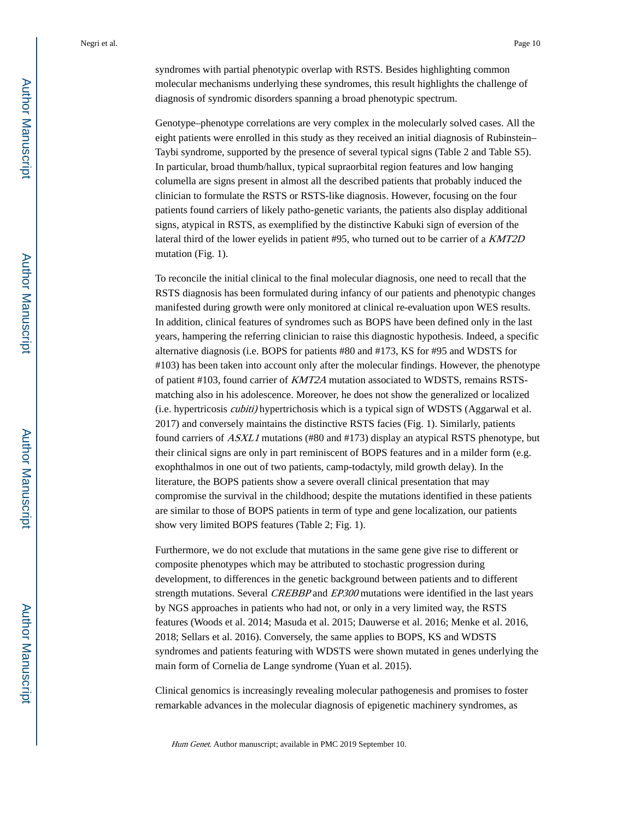syndromes with partial phenotypic overlap with RSTS. Besides highlighting common molecular mechanisms underlying these syndromes, this result highlights the challenge of diagnosis of syndromic disorders spanning a broad phenotypic spectrum.

Genotype–phenotype correlations are very complex in the molecularly solved cases. All the eight patients were enrolled in this study as they received an initial diagnosis of Rubinstein– Taybi syndrome, supported by the presence of several typical signs (Table 2 and Table S5). In particular, broad thumb/hallux, typical supraorbital region features and low hanging columella are signs present in almost all the described patients that probably induced the clinician to formulate the RSTS or RSTS-like diagnosis. However, focusing on the four patients found carriers of likely patho-genetic variants, the patients also display additional signs, atypical in RSTS, as exemplified by the distinctive Kabuki sign of eversion of the lateral third of the lower eyelids in patient #95, who turned out to be carrier of a KMT2D mutation (Fig. 1).

To reconcile the initial clinical to the final molecular diagnosis, one need to recall that the RSTS diagnosis has been formulated during infancy of our patients and phenotypic changes manifested during growth were only monitored at clinical re-evaluation upon WES results. In addition, clinical features of syndromes such as BOPS have been defined only in the last years, hampering the referring clinician to raise this diagnostic hypothesis. Indeed, a specific alternative diagnosis (i.e. BOPS for patients #80 and #173, KS for #95 and WDSTS for #103) has been taken into account only after the molecular findings. However, the phenotype of patient #103, found carrier of KMT2A mutation associated to WDSTS, remains RSTSmatching also in his adolescence. Moreover, he does not show the generalized or localized (i.e. hypertricosis cubiti) hypertrichosis which is a typical sign of WDSTS (Aggarwal et al. 2017) and conversely maintains the distinctive RSTS facies (Fig. 1). Similarly, patients found carriers of ASXL1 mutations (#80 and #173) display an atypical RSTS phenotype, but their clinical signs are only in part reminiscent of BOPS features and in a milder form (e.g. exophthalmos in one out of two patients, camp-todactyly, mild growth delay). In the literature, the BOPS patients show a severe overall clinical presentation that may compromise the survival in the childhood; despite the mutations identified in these patients are similar to those of BOPS patients in term of type and gene localization, our patients show very limited BOPS features (Table 2; Fig. 1).

Furthermore, we do not exclude that mutations in the same gene give rise to different or composite phenotypes which may be attributed to stochastic progression during development, to differences in the genetic background between patients and to different strength mutations. Several *CREBBP* and *EP300* mutations were identified in the last years by NGS approaches in patients who had not, or only in a very limited way, the RSTS features (Woods et al. 2014; Masuda et al. 2015; Dauwerse et al. 2016; Menke et al. 2016, 2018; Sellars et al. 2016). Conversely, the same applies to BOPS, KS and WDSTS syndromes and patients featuring with WDSTS were shown mutated in genes underlying the main form of Cornelia de Lange syndrome (Yuan et al. 2015).

Clinical genomics is increasingly revealing molecular pathogenesis and promises to foster remarkable advances in the molecular diagnosis of epigenetic machinery syndromes, as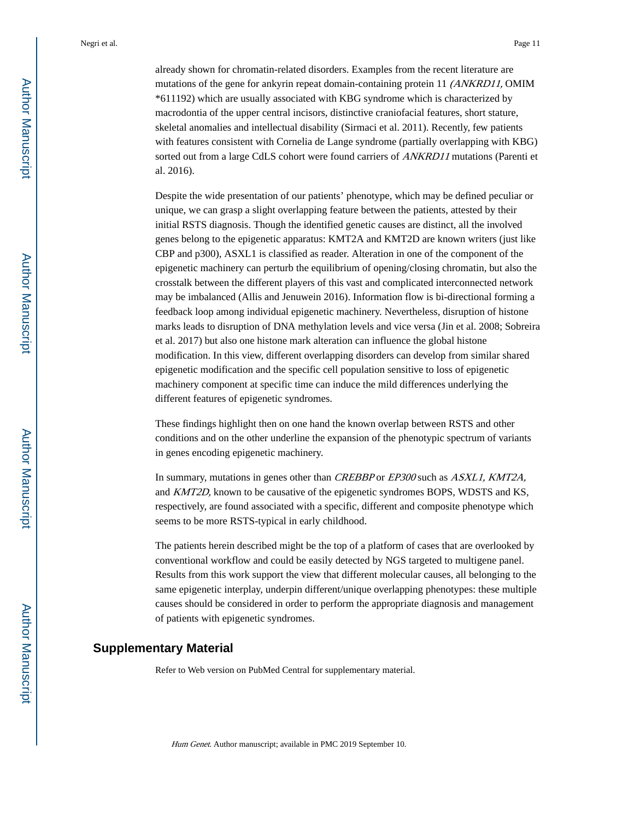already shown for chromatin-related disorders. Examples from the recent literature are mutations of the gene for ankyrin repeat domain-containing protein 11 (ANKRD11, OMIM \*611192) which are usually associated with KBG syndrome which is characterized by macrodontia of the upper central incisors, distinctive craniofacial features, short stature, skeletal anomalies and intellectual disability (Sirmaci et al. 2011). Recently, few patients with features consistent with Cornelia de Lange syndrome (partially overlapping with KBG) sorted out from a large CdLS cohort were found carriers of ANKRD11 mutations (Parenti et al. 2016).

Despite the wide presentation of our patients' phenotype, which may be defined peculiar or unique, we can grasp a slight overlapping feature between the patients, attested by their initial RSTS diagnosis. Though the identified genetic causes are distinct, all the involved genes belong to the epigenetic apparatus: KMT2A and KMT2D are known writers (just like CBP and p300), ASXL1 is classified as reader. Alteration in one of the component of the epigenetic machinery can perturb the equilibrium of opening/closing chromatin, but also the crosstalk between the different players of this vast and complicated interconnected network may be imbalanced (Allis and Jenuwein 2016). Information flow is bi-directional forming a feedback loop among individual epigenetic machinery. Nevertheless, disruption of histone marks leads to disruption of DNA methylation levels and vice versa (Jin et al. 2008; Sobreira et al. 2017) but also one histone mark alteration can influence the global histone modification. In this view, different overlapping disorders can develop from similar shared epigenetic modification and the specific cell population sensitive to loss of epigenetic machinery component at specific time can induce the mild differences underlying the different features of epigenetic syndromes.

These findings highlight then on one hand the known overlap between RSTS and other conditions and on the other underline the expansion of the phenotypic spectrum of variants in genes encoding epigenetic machinery.

In summary, mutations in genes other than CREBBP or EP300 such as ASXL1, KMT2A, and KMT2D, known to be causative of the epigenetic syndromes BOPS, WDSTS and KS, respectively, are found associated with a specific, different and composite phenotype which seems to be more RSTS-typical in early childhood.

The patients herein described might be the top of a platform of cases that are overlooked by conventional workflow and could be easily detected by NGS targeted to multigene panel. Results from this work support the view that different molecular causes, all belonging to the same epigenetic interplay, underpin different/unique overlapping phenotypes: these multiple causes should be considered in order to perform the appropriate diagnosis and management of patients with epigenetic syndromes.

## **Supplementary Material**

Refer to Web version on PubMed Central for supplementary material.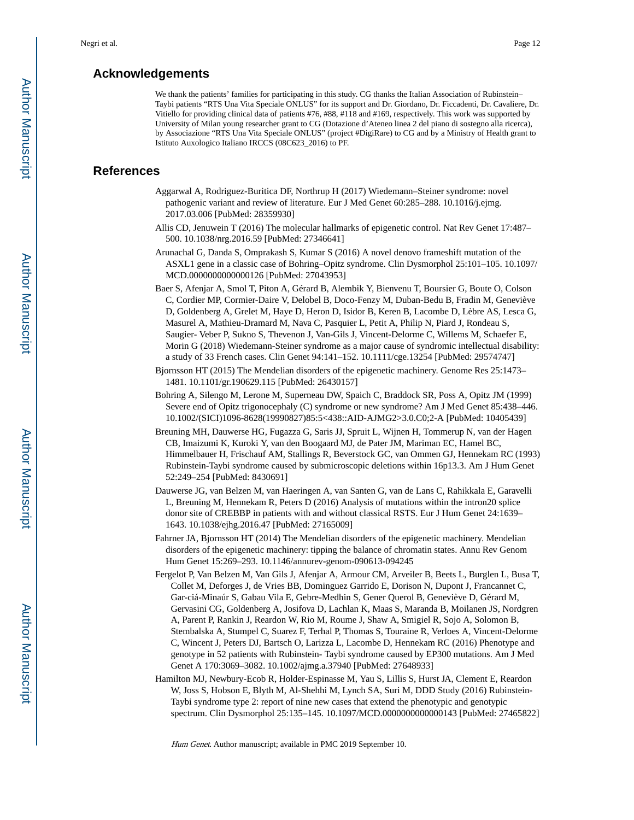## **Acknowledgements**

We thank the patients' families for participating in this study. CG thanks the Italian Association of Rubinstein– Taybi patients "RTS Una Vita Speciale ONLUS" for its support and Dr. Giordano, Dr. Ficcadenti, Dr. Cavaliere, Dr. Vitiello for providing clinical data of patients #76, #88, #118 and #169, respectively. This work was supported by University of Milan young researcher grant to CG (Dotazione d'Ateneo linea 2 del piano di sostegno alla ricerca), by Associazione "RTS Una Vita Speciale ONLUS" (project #DigiRare) to CG and by a Ministry of Health grant to Istituto Auxologico Italiano IRCCS (08C623\_2016) to PF.

## **References**

- Aggarwal A, Rodriguez-Buritica DF, Northrup H (2017) Wiedemann–Steiner syndrome: novel pathogenic variant and review of literature. Eur J Med Genet 60:285–288. 10.1016/j.ejmg. 2017.03.006 [PubMed: 28359930]
- Allis CD, Jenuwein T (2016) The molecular hallmarks of epigenetic control. Nat Rev Genet 17:487– 500. 10.1038/nrg.2016.59 [PubMed: 27346641]
- Arunachal G, Danda S, Omprakash S, Kumar S (2016) A novel denovo frameshift mutation of the ASXL1 gene in a classic case of Bohring–Opitz syndrome. Clin Dysmorphol 25:101–105. 10.1097/ MCD.0000000000000126 [PubMed: 27043953]
- Baer S, Afenjar A, Smol T, Piton A, Gérard B, Alembik Y, Bienvenu T, Boursier G, Boute O, Colson C, Cordier MP, Cormier-Daire V, Delobel B, Doco-Fenzy M, Duban-Bedu B, Fradin M, Geneviève D, Goldenberg A, Grelet M, Haye D, Heron D, Isidor B, Keren B, Lacombe D, Lèbre AS, Lesca G, Masurel A, Mathieu-Dramard M, Nava C, Pasquier L, Petit A, Philip N, Piard J, Rondeau S, Saugier- Veber P, Sukno S, Thevenon J, Van-Gils J, Vincent-Delorme C, Willems M, Schaefer E, Morin G (2018) Wiedemann-Steiner syndrome as a major cause of syndromic intellectual disability: a study of 33 French cases. Clin Genet 94:141–152. 10.1111/cge.13254 [PubMed: 29574747]
- Bjornsson HT (2015) The Mendelian disorders of the epigenetic machinery. Genome Res 25:1473– 1481. 10.1101/gr.190629.115 [PubMed: 26430157]
- Bohring A, Silengo M, Lerone M, Superneau DW, Spaich C, Braddock SR, Poss A, Opitz JM (1999) Severe end of Opitz trigonocephaly (C) syndrome or new syndrome? Am J Med Genet 85:438–446. 10.1002/(SICI)1096-8628(19990827)85:5<438::AID-AJMG2>3.0.C0;2-A [PubMed: 10405439]
- Breuning MH, Dauwerse HG, Fugazza G, Saris JJ, Spruit L, Wijnen H, Tommerup N, van der Hagen CB, Imaizumi K, Kuroki Y, van den Boogaard MJ, de Pater JM, Mariman EC, Hamel BC, Himmelbauer H, Frischauf AM, Stallings R, Beverstock GC, van Ommen GJ, Hennekam RC (1993) Rubinstein-Taybi syndrome caused by submicroscopic deletions within 16p13.3. Am J Hum Genet 52:249–254 [PubMed: 8430691]
- Dauwerse JG, van Belzen M, van Haeringen A, van Santen G, van de Lans C, Rahikkala E, Garavelli L, Breuning M, Hennekam R, Peters D (2016) Analysis of mutations within the intron20 splice donor site of CREBBP in patients with and without classical RSTS. Eur J Hum Genet 24:1639– 1643. 10.1038/ejhg.2016.47 [PubMed: 27165009]
- Fahrner JA, Bjornsson HT (2014) The Mendelian disorders of the epigenetic machinery. Mendelian disorders of the epigenetic machinery: tipping the balance of chromatin states. Annu Rev Genom Hum Genet 15:269–293. 10.1146/annurev-genom-090613-094245
- Fergelot P, Van Belzen M, Van Gils J, Afenjar A, Armour CM, Arveiler B, Beets L, Burglen L, Busa T, Collet M, Deforges J, de Vries BB, Dominguez Garrido E, Dorison N, Dupont J, Francannet C, Gar-ciá-Minaúr S, Gabau Vila E, Gebre-Medhin S, Gener Querol B, Geneviève D, Gérard M, Gervasini CG, Goldenberg A, Josifova D, Lachlan K, Maas S, Maranda B, Moilanen JS, Nordgren A, Parent P, Rankin J, Reardon W, Rio M, Roume J, Shaw A, Smigiel R, Sojo A, Solomon B, Stembalska A, Stumpel C, Suarez F, Terhal P, Thomas S, Touraine R, Verloes A, Vincent-Delorme C, Wincent J, Peters DJ, Bartsch O, Larizza L, Lacombe D, Hennekam RC (2016) Phenotype and genotype in 52 patients with Rubinstein- Taybi syndrome caused by EP300 mutations. Am J Med Genet A 170:3069–3082. 10.1002/ajmg.a.37940 [PubMed: 27648933]
- Hamilton MJ, Newbury-Ecob R, Holder-Espinasse M, Yau S, Lillis S, Hurst JA, Clement E, Reardon W, Joss S, Hobson E, Blyth M, Al-Shehhi M, Lynch SA, Suri M, DDD Study (2016) Rubinstein-Taybi syndrome type 2: report of nine new cases that extend the phenotypic and genotypic spectrum. Clin Dysmorphol 25:135–145. 10.1097/MCD.0000000000000143 [PubMed: 27465822]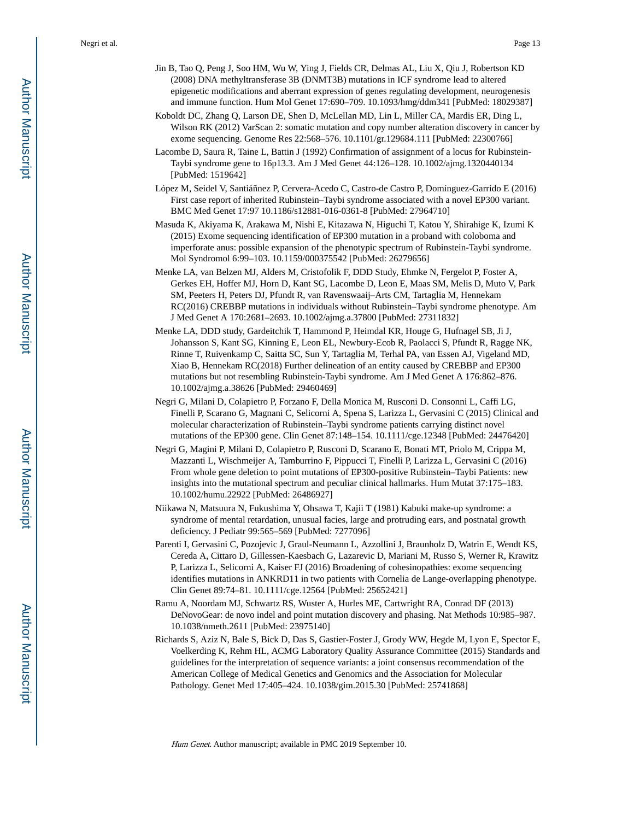- Jin B, Tao Q, Peng J, Soo HM, Wu W, Ying J, Fields CR, Delmas AL, Liu X, Qiu J, Robertson KD (2008) DNA methyltransferase 3B (DNMT3B) mutations in ICF syndrome lead to altered epigenetic modifications and aberrant expression of genes regulating development, neurogenesis and immune function. Hum Mol Genet 17:690–709. 10.1093/hmg/ddm341 [PubMed: 18029387]
- Koboldt DC, Zhang Q, Larson DE, Shen D, McLellan MD, Lin L, Miller CA, Mardis ER, Ding L, Wilson RK (2012) VarScan 2: somatic mutation and copy number alteration discovery in cancer by exome sequencing. Genome Res 22:568–576. 10.1101/gr.129684.111 [PubMed: 22300766]
- Lacombe D, Saura R, Taine L, Battin J (1992) Confirmation of assignment of a locus for Rubinstein-Taybi syndrome gene to 16p13.3. Am J Med Genet 44:126–128. 10.1002/ajmg.1320440134 [PubMed: 1519642]
- López M, Seidel V, Santiáñnez P, Cervera-Acedo C, Castro-de Castro P, Domínguez-Garrido E (2016) First case report of inherited Rubinstein–Taybi syndrome associated with a novel EP300 variant. BMC Med Genet 17:97 10.1186/s12881-016-0361-8 [PubMed: 27964710]
- Masuda K, Akiyama K, Arakawa M, Nishi E, Kitazawa N, Higuchi T, Katou Y, Shirahige K, Izumi K (2015) Exome sequencing identification of EP300 mutation in a proband with coloboma and imperforate anus: possible expansion of the phenotypic spectrum of Rubinstein-Taybi syndrome. Mol Syndromol 6:99–103. 10.1159/000375542 [PubMed: 26279656]
- Menke LA, van Belzen MJ, Alders M, Cristofolik F, DDD Study, Ehmke N, Fergelot P, Foster A, Gerkes EH, Hoffer MJ, Horn D, Kant SG, Lacombe D, Leon E, Maas SM, Melis D, Muto V, Park SM, Peeters H, Peters DJ, Pfundt R, van Ravenswaaij–Arts CM, Tartaglia M, Hennekam RC(2016) CREBBP mutations in individuals without Rubinstein–Taybi syndrome phenotype. Am J Med Genet A 170:2681–2693. 10.1002/ajmg.a.37800 [PubMed: 27311832]
- Menke LA, DDD study, Gardeitchik T, Hammond P, Heimdal KR, Houge G, Hufnagel SB, Ji J, Johansson S, Kant SG, Kinning E, Leon EL, Newbury-Ecob R, Paolacci S, Pfundt R, Ragge NK, Rinne T, Ruivenkamp C, Saitta SC, Sun Y, Tartaglia M, Terhal PA, van Essen AJ, Vigeland MD, Xiao B, Hennekam RC(2018) Further delineation of an entity caused by CREBBP and EP300 mutations but not resembling Rubinstein-Taybi syndrome. Am J Med Genet A 176:862–876. 10.1002/ajmg.a.38626 [PubMed: 29460469]
- Negri G, Milani D, Colapietro P, Forzano F, Della Monica M, Rusconi D. Consonni L, Caffi LG, Finelli P, Scarano G, Magnani C, Selicorni A, Spena S, Larizza L, Gervasini C (2015) Clinical and molecular characterization of Rubinstein–Taybi syndrome patients carrying distinct novel mutations of the EP300 gene. Clin Genet 87:148–154. 10.1111/cge.12348 [PubMed: 24476420]
- Negri G, Magini P, Milani D, Colapietro P, Rusconi D, Scarano E, Bonati MT, Priolo M, Crippa M, Mazzanti L, Wischmeijer A, Tamburrino F, Pippucci T, Finelli P, Larizza L, Gervasini C (2016) From whole gene deletion to point mutations of EP300-positive Rubinstein–Taybi Patients: new insights into the mutational spectrum and peculiar clinical hallmarks. Hum Mutat 37:175–183. 10.1002/humu.22922 [PubMed: 26486927]
- Niikawa N, Matsuura N, Fukushima Y, Ohsawa T, Kajii T (1981) Kabuki make-up syndrome: a syndrome of mental retardation, unusual facies, large and protruding ears, and postnatal growth deficiency. J Pediatr 99:565–569 [PubMed: 7277096]
- Parenti I, Gervasini C, Pozojevic J, Graul-Neumann L, Azzollini J, Braunholz D, Watrin E, Wendt KS, Cereda A, Cittaro D, Gillessen-Kaesbach G, Lazarevic D, Mariani M, Russo S, Werner R, Krawitz P, Larizza L, Selicorni A, Kaiser FJ (2016) Broadening of cohesinopathies: exome sequencing identifies mutations in ANKRD11 in two patients with Cornelia de Lange-overlapping phenotype. Clin Genet 89:74–81. 10.1111/cge.12564 [PubMed: 25652421]
- Ramu A, Noordam MJ, Schwartz RS, Wuster A, Hurles ME, Cartwright RA, Conrad DF (2013) DeNovoGear: de novo indel and point mutation discovery and phasing. Nat Methods 10:985–987. 10.1038/nmeth.2611 [PubMed: 23975140]
- Richards S, Aziz N, Bale S, Bick D, Das S, Gastier-Foster J, Grody WW, Hegde M, Lyon E, Spector E, Voelkerding K, Rehm HL, ACMG Laboratory Quality Assurance Committee (2015) Standards and guidelines for the interpretation of sequence variants: a joint consensus recommendation of the American College of Medical Genetics and Genomics and the Association for Molecular Pathology. Genet Med 17:405–424. 10.1038/gim.2015.30 [PubMed: 25741868]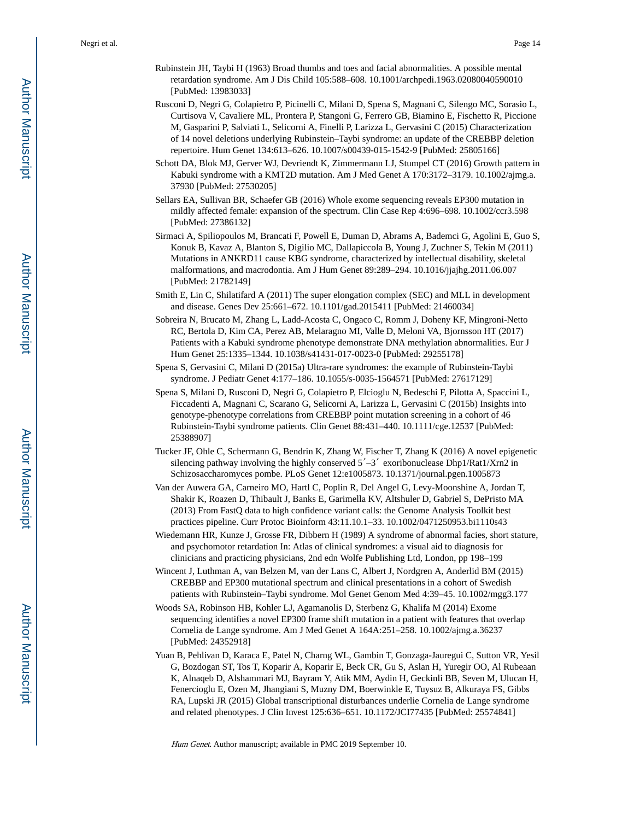- Rubinstein JH, Taybi H (1963) Broad thumbs and toes and facial abnormalities. A possible mental retardation syndrome. Am J Dis Child 105:588–608. 10.1001/archpedi.1963.02080040590010 [PubMed: 13983033]
- Rusconi D, Negri G, Colapietro P, Picinelli C, Milani D, Spena S, Magnani C, Silengo MC, Sorasio L, Curtisova V, Cavaliere ML, Prontera P, Stangoni G, Ferrero GB, Biamino E, Fischetto R, Piccione M, Gasparini P, Salviati L, Selicorni A, Finelli P, Larizza L, Gervasini C (2015) Characterization of 14 novel deletions underlying Rubinstein–Taybi syndrome: an update of the CREBBP deletion repertoire. Hum Genet 134:613–626. 10.1007/s00439-015-1542-9 [PubMed: 25805166]
- Schott DA, Blok MJ, Gerver WJ, Devriendt K, Zimmermann LJ, Stumpel CT (2016) Growth pattern in Kabuki syndrome with a KMT2D mutation. Am J Med Genet A 170:3172–3179. 10.1002/ajmg.a. 37930 [PubMed: 27530205]
- Sellars EA, Sullivan BR, Schaefer GB (2016) Whole exome sequencing reveals EP300 mutation in mildly affected female: expansion of the spectrum. Clin Case Rep 4:696–698. 10.1002/ccr3.598 [PubMed: 27386132]
- Sirmaci A, Spiliopoulos M, Brancati F, Powell E, Duman D, Abrams A, Bademci G, Agolini E, Guo S, Konuk B, Kavaz A, Blanton S, Digilio MC, Dallapiccola B, Young J, Zuchner S, Tekin M (2011) Mutations in ANKRD11 cause KBG syndrome, characterized by intellectual disability, skeletal malformations, and macrodontia. Am J Hum Genet 89:289–294. 10.1016/jjajhg.2011.06.007 [PubMed: 21782149]
- Smith E, Lin C, Shilatifard A (2011) The super elongation complex (SEC) and MLL in development and disease. Genes Dev 25:661–672. 10.1101/gad.2015411 [PubMed: 21460034]
- Sobreira N, Brucato M, Zhang L, Ladd-Acosta C, Ongaco C, Romm J, Doheny KF, Mingroni-Netto RC, Bertola D, Kim CA, Perez AB, Melaragno MI, Valle D, Meloni VA, Bjornsson HT (2017) Patients with a Kabuki syndrome phenotype demonstrate DNA methylation abnormalities. Eur J Hum Genet 25:1335–1344. 10.1038/s41431-017-0023-0 [PubMed: 29255178]
- Spena S, Gervasini C, Milani D (2015a) Ultra-rare syndromes: the example of Rubinstein-Taybi syndrome. J Pediatr Genet 4:177–186. 10.1055/s-0035-1564571 [PubMed: 27617129]
- Spena S, Milani D, Rusconi D, Negri G, Colapietro P, Elcioglu N, Bedeschi F, Pilotta A, Spaccini L, Ficcadenti A, Magnani C, Scarano G, Selicorni A, Larizza L, Gervasini C (2015b) Insights into genotype-phenotype correlations from CREBBP point mutation screening in a cohort of 46 Rubinstein-Taybi syndrome patients. Clin Genet 88:431–440. 10.1111/cge.12537 [PubMed: 25388907]
- Tucker JF, Ohle C, Schermann G, Bendrin K, Zhang W, Fischer T, Zhang K (2016) A novel epigenetic silencing pathway involving the highly conserved  $5'-3'$  exoribonuclease Dhp1/Rat1/Xrn2 in Schizosaccharomyces pombe. PLoS Genet 12:e1005873. 10.1371/journal.pgen.1005873
- Van der Auwera GA, Carneiro MO, Hartl C, Poplin R, Del Angel G, Levy-Moonshine A, Jordan T, Shakir K, Roazen D, Thibault J, Banks E, Garimella KV, Altshuler D, Gabriel S, DePristo MA (2013) From FastQ data to high confidence variant calls: the Genome Analysis Toolkit best practices pipeline. Curr Protoc Bioinform 43:11.10.1–33. 10.1002/0471250953.bi1110s43
- Wiedemann HR, Kunze J, Grosse FR, Dibbern H (1989) A syndrome of abnormal facies, short stature, and psychomotor retardation In: Atlas of clinical syndromes: a visual aid to diagnosis for clinicians and practicing physicians, 2nd edn Wolfe Publishing Ltd, London, pp 198–199
- Wincent J, Luthman A, van Belzen M, van der Lans C, Albert J, Nordgren A, Anderlid BM (2015) CREBBP and EP300 mutational spectrum and clinical presentations in a cohort of Swedish patients with Rubinstein–Taybi syndrome. Mol Genet Genom Med 4:39–45. 10.1002/mgg3.177
- Woods SA, Robinson HB, Kohler LJ, Agamanolis D, Sterbenz G, Khalifa M (2014) Exome sequencing identifies a novel EP300 frame shift mutation in a patient with features that overlap Cornelia de Lange syndrome. Am J Med Genet A 164A:251–258. 10.1002/ajmg.a.36237 [PubMed: 24352918]
- Yuan B, Pehlivan D, Karaca E, Patel N, Charng WL, Gambin T, Gonzaga-Jauregui C, Sutton VR, Yesil G, Bozdogan ST, Tos T, Koparir A, Koparir E, Beck CR, Gu S, Aslan H, Yuregir OO, Al Rubeaan K, Alnaqeb D, Alshammari MJ, Bayram Y, Atik MM, Aydin H, Geckinli BB, Seven M, Ulucan H, Fenercioglu E, Ozen M, Jhangiani S, Muzny DM, Boerwinkle E, Tuysuz B, Alkuraya FS, Gibbs RA, Lupski JR (2015) Global transcriptional disturbances underlie Cornelia de Lange syndrome and related phenotypes. J Clin Invest 125:636–651. 10.1172/JCI77435 [PubMed: 25574841]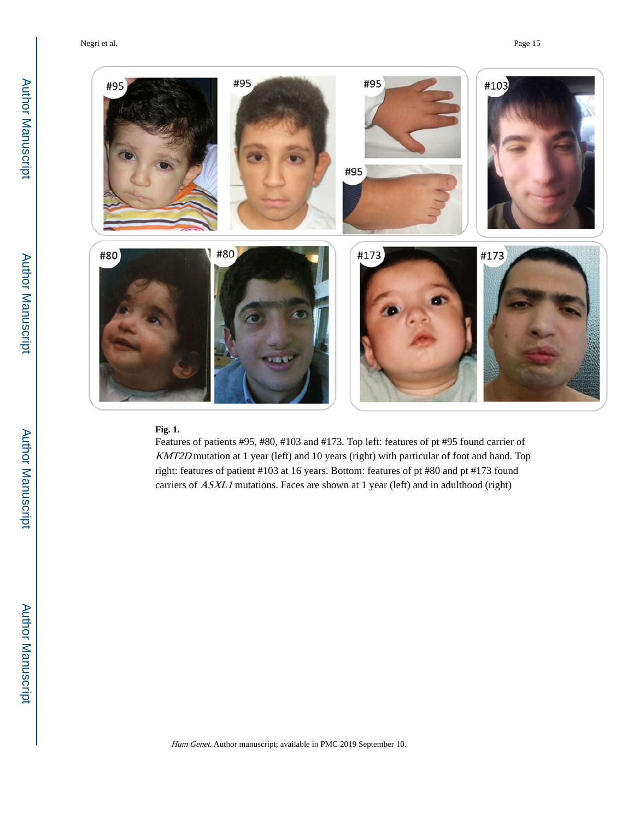Negri et al. Page 15



## **Fig. 1.**

Features of patients #95, #80, #103 and #173. Top left: features of pt #95 found carrier of KMT2D mutation at 1 year (left) and 10 years (right) with particular of foot and hand. Top right: features of patient #103 at 16 years. Bottom: features of pt #80 and pt #173 found carriers of *ASXL1* mutations. Faces are shown at 1 year (left) and in adulthood (right)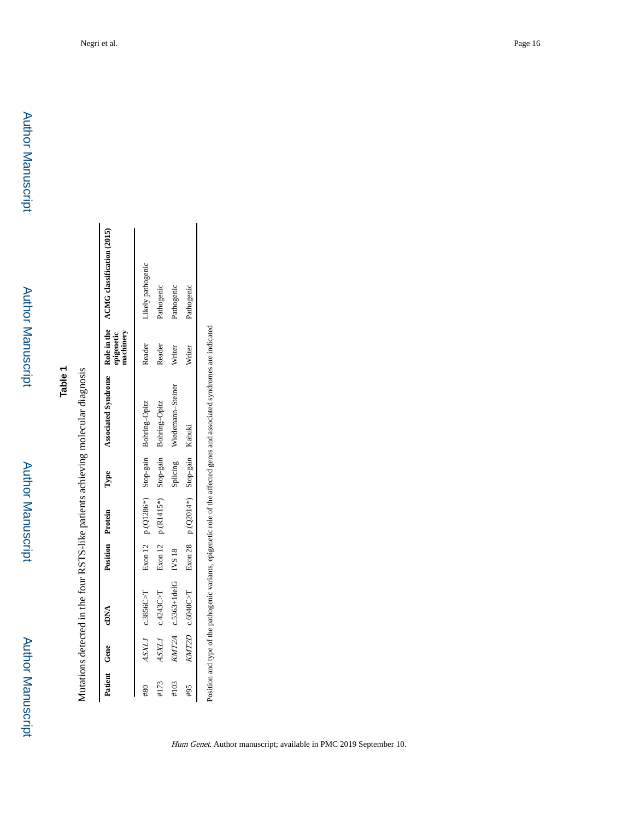Author Manuscript

**Author Manuscript** 

Mutations detected in the four RSTS-like patients achieving molecular diagnosis Mutations detected in the four RSTS-like patients achieving molecular diagnosis

|      | Patient Gene | cDNA         |           | Position Protein             | Type      | Associated Syndrome |               | Role in the ACMG classification (2015)<br>epigenetic<br>machinery |
|------|--------------|--------------|-----------|------------------------------|-----------|---------------------|---------------|-------------------------------------------------------------------|
|      | <b>TTXSP</b> | c.3856C > T  | Exon $12$ | p.(Q1286*)                   | Stop-gain | Bohring-Opitz       | Reader        | ikely pathogenic                                                  |
| #173 | ASXLI        | c.4243C > T  | Exon 12   | p.(R1415*)                   | Stop-gain | Bohring-Opitz       | Reader        | <sup>2</sup> athogenic                                            |
| #103 | <b>CATZA</b> | c.5363+1delG | IVS 18    |                              | splicing  | Wiedemann-Steiner   | Writer        | athogenic                                                         |
| #95  | KMT2D        | c.6040C > T  |           | Exon 28 p.(Q2014*) Stop-gain |           | Kabuki              | <b>Nriter</b> | Pathogenic                                                        |

Position and type of the pathogenic variants, epigenetic role of the affected genes and associated syndromes are indicated Position and type of the pathogenic variants, epigenetic role of the affected genes and associated syndromes are indicated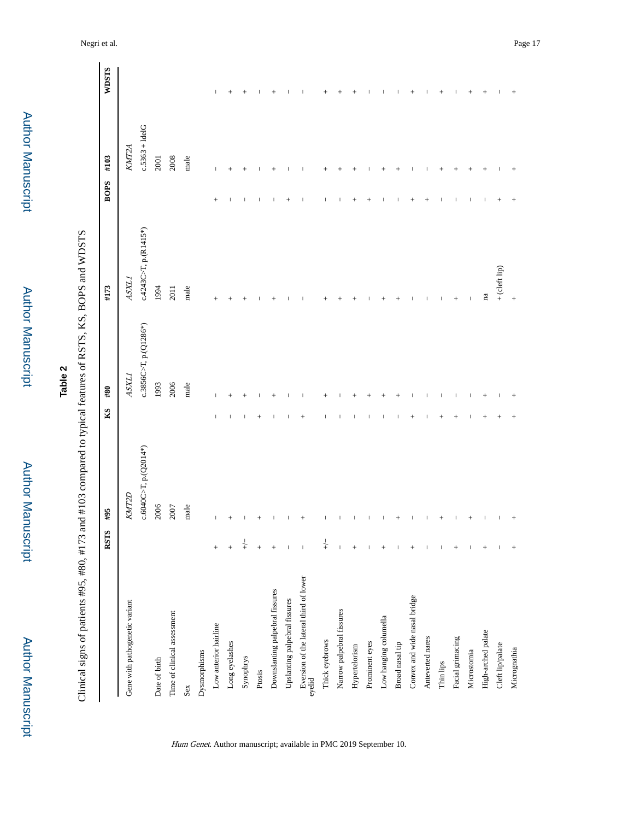| ۰ |
|---|
|   |
|   |
|   |
|   |
|   |
|   |
| ī |
|   |
|   |
|   |
|   |
|   |
|   |
|   |
|   |
|   |
|   |
|   |
|   |
|   |
|   |
|   |
|   |
|   |
|   |
|   |
|   |
|   |
|   |
|   |
|   |
|   |
|   |
|   |
|   |
| ٠ |
|   |
|   |
|   |
|   |
|   |

**Table 2**

Clinical signs of patients #95, #80, #173 and #103 compared to typical features of RSTS, KS, BOPS and WDSTS Clinical signs of patients #95, #80, #173 and #103 compared to typical features of RSTS, KS, BOPS and WDSTS

|                                                  | RSTS           | #95                           | K <sub>S</sub> | #80                      | #173                                | BOPS #103 |                   | <b>WDSTS</b> |
|--------------------------------------------------|----------------|-------------------------------|----------------|--------------------------|-------------------------------------|-----------|-------------------|--------------|
|                                                  |                |                               |                |                          |                                     |           |                   |              |
| Gene with pathogenetic variant                   |                | KMT2D                         |                | ASXLI                    | ASXLI                               |           | KMT2A             |              |
|                                                  |                | $c.6040C > T$ , p. $(Q2014*)$ |                | $c.3856C>T$ , p.(Q1286*) | $c.4243C$ $\triangleright$ $R1415*$ |           | $c.5363 + 1$ delG |              |
| Date of birth                                    |                | 2006                          |                | 1993                     | 1994                                |           | <b>2001</b>       |              |
| Time of clinical assessment                      |                | 2007                          |                | 2006                     | 2011                                |           | 2008              |              |
| Sex                                              |                | $_{\rm male}$                 |                | male                     | male                                |           | male              |              |
| Dysmorphisms                                     |                |                               |                |                          |                                     |           |                   |              |
| Low anterior hairline                            | $^{+}$         | $\overline{1}$                |                |                          | $^{+}$                              | $^{+}$    | $\overline{1}$    |              |
| Long eyelashes                                   | $\ddot{}$      | $^{+}$                        |                |                          |                                     |           |                   | $^{+}$       |
| Synophrys                                        | $\downarrow$   |                               |                |                          |                                     |           |                   |              |
| Prosis                                           | $^{+}$         |                               |                |                          |                                     |           |                   |              |
| Downslanting palpebral fissures                  | $^{+}$         |                               |                |                          |                                     |           |                   |              |
| Upslanting palpebral fissures                    | $\overline{1}$ |                               |                |                          |                                     |           |                   |              |
| Eversion of the lateral third of lower<br>eyelid | $\mathsf I$    |                               |                |                          |                                     |           |                   |              |
| Thick eyebrows                                   | $\downarrow$   |                               |                |                          |                                     |           |                   |              |
| Narrow palpebral fissures                        |                |                               |                |                          |                                     |           |                   |              |
| Hypertelorism                                    | $^{+}$         |                               |                |                          |                                     |           |                   |              |
| Prominent eyes                                   |                |                               |                |                          |                                     |           |                   |              |
| Low hanging columella                            | $^{+}$         |                               |                |                          |                                     |           |                   |              |
| Broad nasal tip                                  |                |                               |                |                          |                                     |           |                   |              |
| Convex and wide nasal bridge                     | $^{+}$         |                               |                |                          |                                     |           |                   |              |
| Anteverted nares                                 |                |                               |                |                          |                                     |           |                   |              |
| Thin lips                                        | 1              |                               |                |                          |                                     |           |                   |              |
| Facial grimacing                                 | $^{+}$         |                               |                |                          | $^{+}$                              |           |                   |              |
| Microstomia                                      |                |                               |                |                          |                                     |           |                   |              |
| High-arched palate                               | $^{+}$         |                               |                |                          | na                                  |           |                   | $^{+}$       |
| Cleft lip/palate                                 |                |                               |                |                          | + (cleft lip)                       |           |                   |              |
| Micrognathia                                     | $^{+}$         |                               |                |                          | $^{+}$                              |           |                   |              |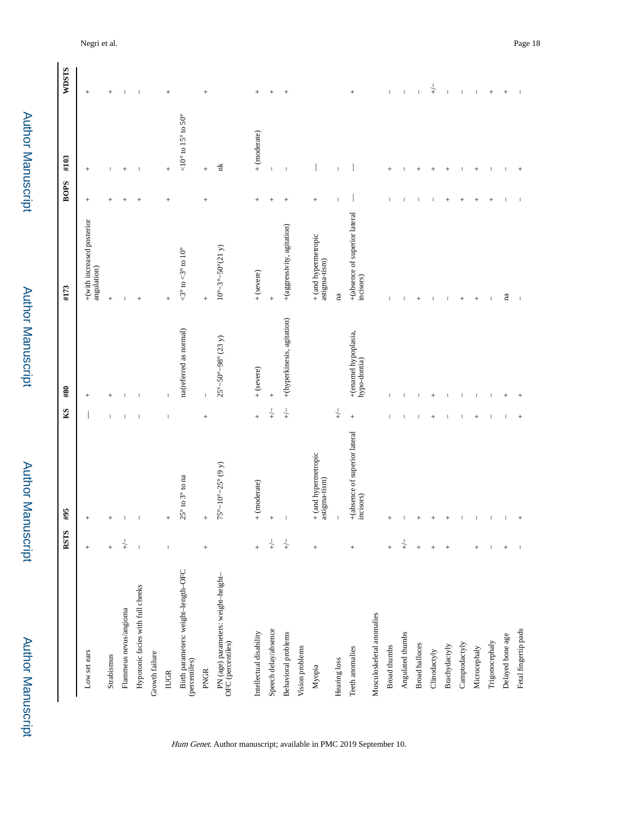Author Manuscript Author Manuscript

 Author ManuscriptAuthor Manuscript

 Author Manuscript**Author Manuscript** 

|                                                          | RSTS                     | #95                                        | KS           | #80                                           | #173                                                   | <b>BOPS</b>    | #103                                        | <b>WDSTS</b>   |
|----------------------------------------------------------|--------------------------|--------------------------------------------|--------------|-----------------------------------------------|--------------------------------------------------------|----------------|---------------------------------------------|----------------|
| Low set ears                                             | $^{+}$                   | $^{+}$                                     |              | $^{+}$                                        | +(with increased posterior<br>angulation)              | $^{+}$         | $\! + \!\!\!\!$                             | $^{+}$         |
| Strabismus                                               | $\ddot{}$                |                                            |              | $^{+}$                                        | $^{+}$                                                 | $^{+}$         |                                             | $^{+}$         |
| Flammeus nevus/angioma                                   | $\downarrow$             |                                            |              |                                               |                                                        |                |                                             |                |
| Hypotonic facies with full cheeks                        | $\overline{\phantom{a}}$ |                                            |              |                                               | $^{+}$                                                 | $^{+}$         |                                             | ı              |
| Growth failure                                           |                          |                                            |              |                                               |                                                        |                |                                             |                |
| <b>IUGR</b>                                              | $\overline{\phantom{a}}$ | $^{+}$                                     |              |                                               | $^{+}$                                                 | $\overline{+}$ | $^{+}$                                      | $^{+}$         |
| Birth parameters: weight-length-OFC<br>(percentiles)     |                          | $25^{\circ}$ to $3^{\circ}$ to na          |              | na(referred as normal)                        | $<\!\!3^{\circ}$ to $\!<\!\!3^{\circ}$ to $10^{\circ}$ |                | $<\!\!10^\circ$ to $15^\circ$ to $50^\circ$ |                |
| <b>PNGR</b>                                              | $\! + \!$                | $^{+}$                                     | $^{+}$       | $\overline{\phantom{a}}$                      | $^{+}$                                                 | $^{+}$         | $^{+}$                                      | $^{+}$         |
| PN (age) parameters: weight-height-<br>OFC (percentiles) |                          | $75^{\circ}-10^{\circ}-25^{\circ}$ (9 y)   |              | $25^{\circ} - 50^{\circ} - 98^{\circ}$ (23 y) | $10^{\circ}-3^{\circ}-50^{\circ}(21 \text{ y})$        |                | Ĕ                                           |                |
| Intellectual disability                                  | $\ddot{}$                | $+$ (moderate)                             | $^{+}$       | $+$ (severe)                                  | + (severe)                                             | $^{+}$         | $+$ (moderate)                              | $^{+}$         |
| Speech delay/absence                                     | $\downarrow$             | $^{+}$                                     | $\downarrow$ | $^{+}$                                        |                                                        | $^{+}$         | $\mathsf I$                                 |                |
| <b>Behavioral</b> problems                               | $\downarrow$             |                                            | $\downarrow$ | +(hyperkinesis, agitation)                    | +(aggressivity, agitation)                             |                |                                             |                |
| Vision problems                                          |                          |                                            |              |                                               |                                                        |                |                                             |                |
| Myopia                                                   | $^{+}$                   | $+$ (and hypermetropic<br>astigma-tism)    |              |                                               | + (and hypermetropic<br>astigma-tism)                  | $^{+}$         |                                             |                |
| Hearing loss                                             |                          |                                            | $\downarrow$ |                                               | na                                                     |                |                                             |                |
| Teeth anomalies                                          | $^{+}$                   | +(absence of superior lateral<br>incisors) | $^{+}$       | +(enamel hypoplasia,<br>hypo-dontia)          | +(absence of superior lateral<br>incisors)             |                |                                             | $^{+}$         |
| Musculoskeletal anomalies                                |                          |                                            |              |                                               |                                                        |                |                                             |                |
| <b>Broad thumbs</b>                                      | $^{+}$                   |                                            |              |                                               |                                                        |                |                                             |                |
| Angulated thumbs                                         | $\downarrow$             |                                            |              |                                               |                                                        |                |                                             | I              |
| <b>Broad halluces</b>                                    | $^{+}$                   |                                            |              |                                               |                                                        |                |                                             |                |
| Clinodactyly                                             | $^{+}$                   |                                            |              |                                               |                                                        |                |                                             | $\overline{+}$ |
| Brachydactyly                                            | $^{+}$                   |                                            |              |                                               |                                                        | $^{+}$         | $^{+}$                                      |                |
| Camptodactyly                                            |                          |                                            |              |                                               | $\overline{+}$                                         | $^{+}$         |                                             |                |
| Microcephaly                                             | $\qquad \qquad +$        |                                            |              |                                               | $^{+}$                                                 | $^{+}$         | $\hspace{0.1mm} +$                          |                |
| Trigonocephaly                                           | $\,$ $\,$                |                                            |              |                                               |                                                        | $^{+}$         |                                             | $^{+}$         |
| Delayed bone age                                         | $^{+}$                   |                                            |              |                                               | na                                                     |                |                                             |                |
| Fetal fingertip pads                                     |                          |                                            |              |                                               |                                                        |                |                                             |                |